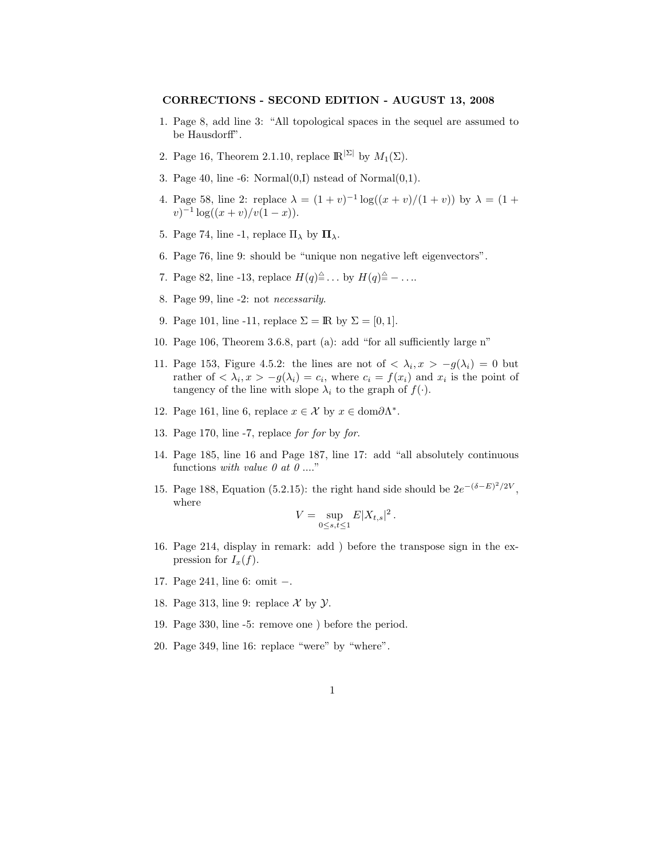## CORRECTIONS - SECOND EDITION - AUGUST 13, 2008

- 1. Page 8, add line 3: "All topological spaces in the sequel are assumed to be Hausdorff".
- 2. Page 16, Theorem 2.1.10, replace  $\mathbb{R}^{|\Sigma|}$  by  $M_1(\Sigma)$ .
- 3. Page 40, line  $-6$ : Normal $(0,I)$  nstead of Normal $(0,1)$ .
- 4. Page 58, line 2: replace  $\lambda = (1 + v)^{-1} \log((x + v)/(1 + v))$  by  $\lambda = (1 + v)^{-1} \log((x + v)/(1 + v))$  $(v)^{-1} \log((x+v)/v(1-x)).$
- 5. Page 74, line -1, replace  $\Pi_{\lambda}$  by  $\Pi_{\lambda}$ .
- 6. Page 76, line 9: should be "unique non negative left eigenvectors".
- 7. Page 82, line -13, replace  $H(q) \triangleq \dots$  by  $H(q) \triangleq \dots$
- 8. Page 99, line -2: not necessarily.
- 9. Page 101, line -11, replace  $\Sigma = \mathbb{R}$  by  $\Sigma = [0, 1]$ .
- 10. Page 106, Theorem 3.6.8, part (a): add "for all sufficiently large n"
- 11. Page 153, Figure 4.5.2: the lines are not of  $\langle \lambda_i, x \rangle g(\lambda_i) = 0$  but rather of  $\langle \lambda_i, x \rangle - g(\lambda_i) = c_i$ , where  $c_i = f(x_i)$  and  $x_i$  is the point of tangency of the line with slope  $\lambda_i$  to the graph of  $f(\cdot)$ .
- 12. Page 161, line 6, replace  $x \in \mathcal{X}$  by  $x \in \text{dom}\partial\Lambda^*$ .
- 13. Page 170, line -7, replace for for by for.
- 14. Page 185, line 16 and Page 187, line 17: add "all absolutely continuous functions with value  $\theta$  at  $\theta$  ...."
- 15. Page 188, Equation (5.2.15): the right hand side should be  $2e^{-(\delta E)^2/2V}$ , where

$$
V = \sup_{0 \le s, t \le 1} E|X_{t,s}|^2.
$$

- 16. Page 214, display in remark: add ) before the transpose sign in the expression for  $I_x(f)$ .
- 17. Page 241, line 6: omit −.
- 18. Page 313, line 9: replace  $\mathcal X$  by  $\mathcal Y$ .
- 19. Page 330, line -5: remove one ) before the period.
- 20. Page 349, line 16: replace "were" by "where".
	- 1